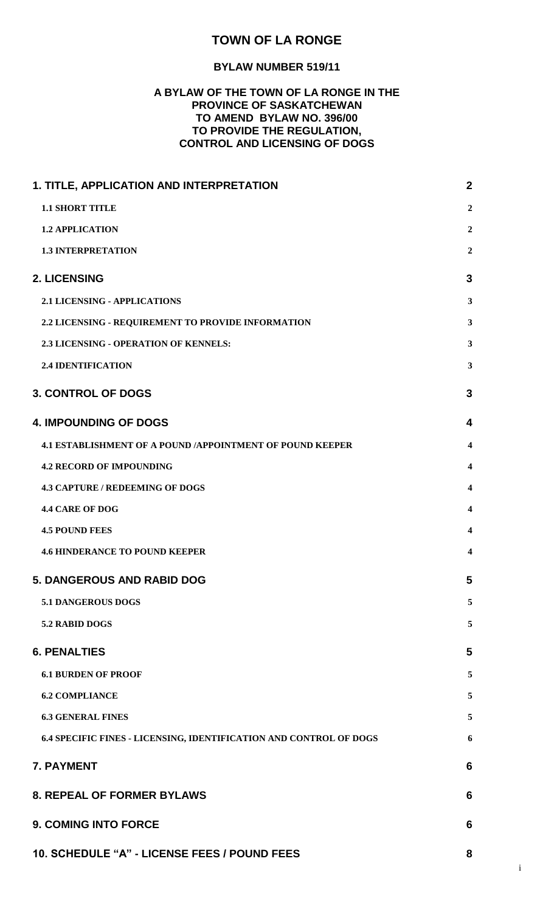# **TOWN OF LA RONGE**

### **BYLAW NUMBER 519/11**

## **A BYLAW OF THE TOWN OF LA RONGE IN THE PROVINCE OF SASKATCHEWAN TO AMEND BYLAW NO. 396/00 TO PROVIDE THE REGULATION, CONTROL AND LICENSING OF DOGS**

| 1. TITLE, APPLICATION AND INTERPRETATION                           | $\boldsymbol{2}$        |
|--------------------------------------------------------------------|-------------------------|
| <b>1.1 SHORT TITLE</b>                                             | $\boldsymbol{2}$        |
| <b>1.2 APPLICATION</b>                                             | $\boldsymbol{2}$        |
| <b>1.3 INTERPRETATION</b>                                          | $\boldsymbol{2}$        |
| 2. LICENSING                                                       | $\mathbf{3}$            |
| <b>2.1 LICENSING - APPLICATIONS</b>                                | $\mathbf{3}$            |
| 2.2 LICENSING - REQUIREMENT TO PROVIDE INFORMATION                 | $\mathbf{3}$            |
| 2.3 LICENSING - OPERATION OF KENNELS:                              | $\mathbf{3}$            |
| <b>2.4 IDENTIFICATION</b>                                          | $\mathbf{3}$            |
| <b>3. CONTROL OF DOGS</b>                                          | 3                       |
| <b>4. IMPOUNDING OF DOGS</b>                                       | 4                       |
| <b>4.1 ESTABLISHMENT OF A POUND /APPOINTMENT OF POUND KEEPER</b>   | $\overline{\mathbf{4}}$ |
| <b>4.2 RECORD OF IMPOUNDING</b>                                    | $\overline{\mathbf{4}}$ |
| <b>4.3 CAPTURE / REDEEMING OF DOGS</b>                             | $\overline{\mathbf{4}}$ |
| <b>4.4 CARE OF DOG</b>                                             | $\overline{\mathbf{4}}$ |
| <b>4.5 POUND FEES</b>                                              | $\overline{\mathbf{4}}$ |
| <b>4.6 HINDERANCE TO POUND KEEPER</b>                              | $\overline{\mathbf{4}}$ |
| <b>5. DANGEROUS AND RABID DOG</b>                                  | 5                       |
| <b>5.1 DANGEROUS DOGS</b>                                          | 5                       |
| 5.2 RABID DOGS                                                     | 5                       |
| <b>6. PENALTIES</b>                                                | 5                       |
| <b>6.1 BURDEN OF PROOF</b>                                         | 5                       |
| <b>6.2 COMPLIANCE</b>                                              | 5                       |
| <b>6.3 GENERAL FINES</b>                                           | 5                       |
| 6.4 SPECIFIC FINES - LICENSING, IDENTIFICATION AND CONTROL OF DOGS | 6                       |
| <b>7. PAYMENT</b>                                                  | 6                       |
| <b>8. REPEAL OF FORMER BYLAWS</b>                                  | 6                       |
| <b>9. COMING INTO FORCE</b>                                        | 6                       |
| 10. SCHEDULE "A" - LICENSE FEES / POUND FEES                       | 8                       |

i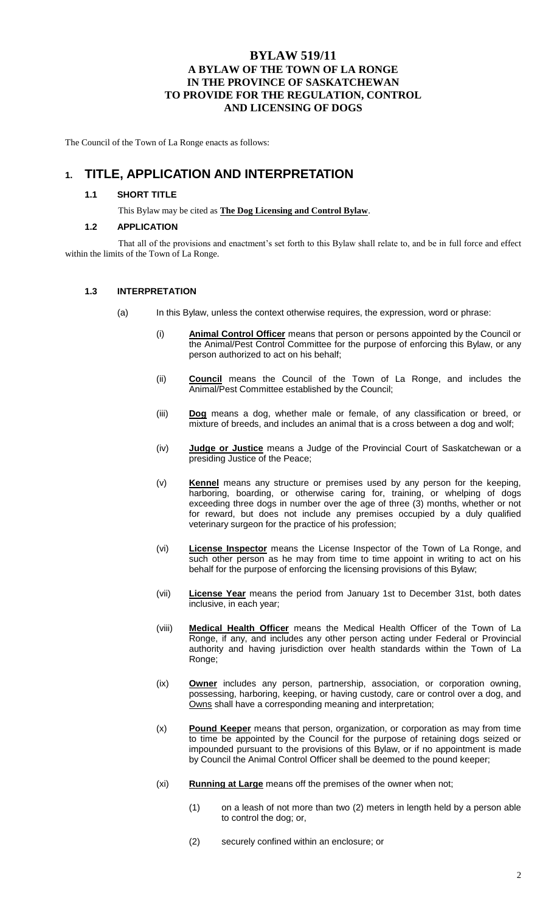## **BYLAW 519/11 A BYLAW OF THE TOWN OF LA RONGE IN THE PROVINCE OF SASKATCHEWAN TO PROVIDE FOR THE REGULATION, CONTROL AND LICENSING OF DOGS**

The Council of the Town of La Ronge enacts as follows:

# **1. TITLE, APPLICATION AND INTERPRETATION**

#### **1.1 SHORT TITLE**

This Bylaw may be cited as **The Dog Licensing and Control Bylaw**.

#### **1.2 APPLICATION**

That all of the provisions and enactment's set forth to this Bylaw shall relate to, and be in full force and effect within the limits of the Town of La Ronge.

#### **1.3 INTERPRETATION**

- (a) In this Bylaw, unless the context otherwise requires, the expression, word or phrase:
	- (i) **Animal Control Officer** means that person or persons appointed by the Council or the Animal/Pest Control Committee for the purpose of enforcing this Bylaw, or any person authorized to act on his behalf;
	- (ii) **Council** means the Council of the Town of La Ronge, and includes the Animal/Pest Committee established by the Council;
	- (iii) **Dog** means a dog, whether male or female, of any classification or breed, or mixture of breeds, and includes an animal that is a cross between a dog and wolf;
	- (iv) **Judge or Justice** means a Judge of the Provincial Court of Saskatchewan or a presiding Justice of the Peace;
	- (v) **Kennel** means any structure or premises used by any person for the keeping, harboring, boarding, or otherwise caring for, training, or whelping of dogs exceeding three dogs in number over the age of three (3) months, whether or not for reward, but does not include any premises occupied by a duly qualified veterinary surgeon for the practice of his profession;
	- (vi) **License Inspector** means the License Inspector of the Town of La Ronge, and such other person as he may from time to time appoint in writing to act on his behalf for the purpose of enforcing the licensing provisions of this Bylaw;
	- (vii) **License Year** means the period from January 1st to December 31st, both dates inclusive, in each year;
	- (viii) **Medical Health Officer** means the Medical Health Officer of the Town of La Ronge, if any, and includes any other person acting under Federal or Provincial authority and having jurisdiction over health standards within the Town of La Ronge;
	- (ix) **Owner** includes any person, partnership, association, or corporation owning, possessing, harboring, keeping, or having custody, care or control over a dog, and Owns shall have a corresponding meaning and interpretation;
	- (x) **Pound Keeper** means that person, organization, or corporation as may from time to time be appointed by the Council for the purpose of retaining dogs seized or impounded pursuant to the provisions of this Bylaw, or if no appointment is made by Council the Animal Control Officer shall be deemed to the pound keeper;
	- (xi) **Running at Large** means off the premises of the owner when not;
		- (1) on a leash of not more than two (2) meters in length held by a person able to control the dog; or,
		- (2) securely confined within an enclosure; or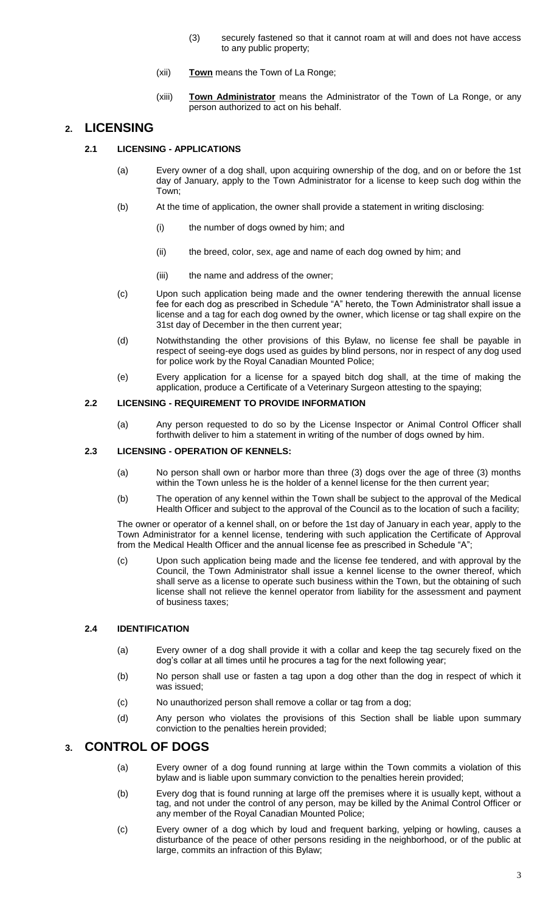- (3) securely fastened so that it cannot roam at will and does not have access to any public property;
- (xii) **Town** means the Town of La Ronge;
- (xiii) **Town Administrator** means the Administrator of the Town of La Ronge, or any person authorized to act on his behalf.

## **2. LICENSING**

- **2.1 LICENSING - APPLICATIONS**
	- (a) Every owner of a dog shall, upon acquiring ownership of the dog, and on or before the 1st day of January, apply to the Town Administrator for a license to keep such dog within the Town;
	- (b) At the time of application, the owner shall provide a statement in writing disclosing:
		- (i) the number of dogs owned by him; and
		- (ii) the breed, color, sex, age and name of each dog owned by him; and
		- (iii) the name and address of the owner;
	- (c) Upon such application being made and the owner tendering therewith the annual license fee for each dog as prescribed in Schedule "A" hereto, the Town Administrator shall issue a license and a tag for each dog owned by the owner, which license or tag shall expire on the 31st day of December in the then current year;
	- (d) Notwithstanding the other provisions of this Bylaw, no license fee shall be payable in respect of seeing-eye dogs used as guides by blind persons, nor in respect of any dog used for police work by the Royal Canadian Mounted Police;
	- (e) Every application for a license for a spayed bitch dog shall, at the time of making the application, produce a Certificate of a Veterinary Surgeon attesting to the spaying;

#### **2.2 LICENSING - REQUIREMENT TO PROVIDE INFORMATION**

(a) Any person requested to do so by the License Inspector or Animal Control Officer shall forthwith deliver to him a statement in writing of the number of dogs owned by him.

#### **2.3 LICENSING - OPERATION OF KENNELS:**

- (a) No person shall own or harbor more than three (3) dogs over the age of three (3) months within the Town unless he is the holder of a kennel license for the then current year;
- (b) The operation of any kennel within the Town shall be subject to the approval of the Medical Health Officer and subject to the approval of the Council as to the location of such a facility;

The owner or operator of a kennel shall, on or before the 1st day of January in each year, apply to the Town Administrator for a kennel license, tendering with such application the Certificate of Approval from the Medical Health Officer and the annual license fee as prescribed in Schedule "A";

(c) Upon such application being made and the license fee tendered, and with approval by the Council, the Town Administrator shall issue a kennel license to the owner thereof, which shall serve as a license to operate such business within the Town, but the obtaining of such license shall not relieve the kennel operator from liability for the assessment and payment of business taxes;

#### **2.4 IDENTIFICATION**

- (a) Every owner of a dog shall provide it with a collar and keep the tag securely fixed on the dog's collar at all times until he procures a tag for the next following year;
- (b) No person shall use or fasten a tag upon a dog other than the dog in respect of which it was issued;
- (c) No unauthorized person shall remove a collar or tag from a dog;
- (d) Any person who violates the provisions of this Section shall be liable upon summary conviction to the penalties herein provided;

## **3. CONTROL OF DOGS**

- (a) Every owner of a dog found running at large within the Town commits a violation of this bylaw and is liable upon summary conviction to the penalties herein provided;
- (b) Every dog that is found running at large off the premises where it is usually kept, without a tag, and not under the control of any person, may be killed by the Animal Control Officer or any member of the Royal Canadian Mounted Police;
- (c) Every owner of a dog which by loud and frequent barking, yelping or howling, causes a disturbance of the peace of other persons residing in the neighborhood, or of the public at large, commits an infraction of this Bylaw;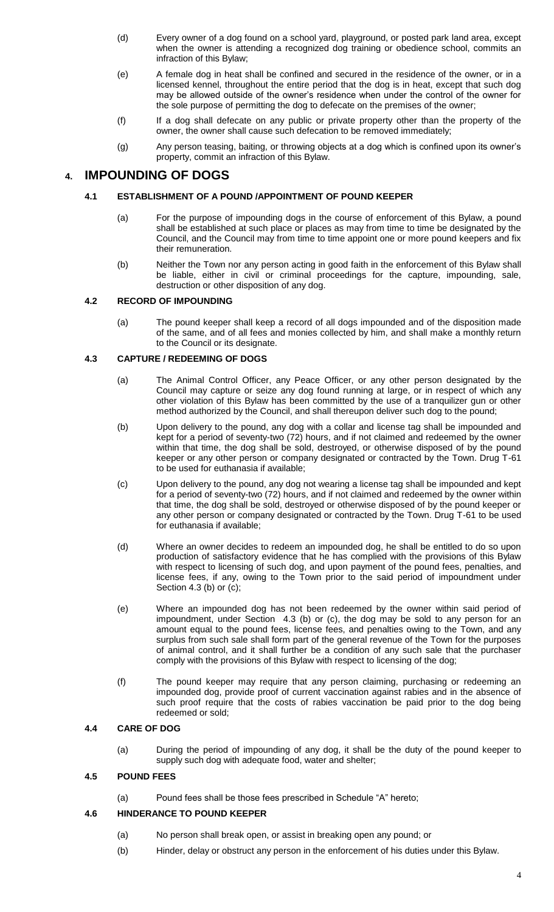- (d) Every owner of a dog found on a school yard, playground, or posted park land area, except when the owner is attending a recognized dog training or obedience school, commits an infraction of this Bylaw;
- (e) A female dog in heat shall be confined and secured in the residence of the owner, or in a licensed kennel, throughout the entire period that the dog is in heat, except that such dog may be allowed outside of the owner's residence when under the control of the owner for the sole purpose of permitting the dog to defecate on the premises of the owner;
- (f) If a dog shall defecate on any public or private property other than the property of the owner, the owner shall cause such defecation to be removed immediately;
- (g) Any person teasing, baiting, or throwing objects at a dog which is confined upon its owner's property, commit an infraction of this Bylaw.

## **4. IMPOUNDING OF DOGS**

#### **4.1 ESTABLISHMENT OF A POUND /APPOINTMENT OF POUND KEEPER**

- (a) For the purpose of impounding dogs in the course of enforcement of this Bylaw, a pound shall be established at such place or places as may from time to time be designated by the Council, and the Council may from time to time appoint one or more pound keepers and fix their remuneration.
- (b) Neither the Town nor any person acting in good faith in the enforcement of this Bylaw shall be liable, either in civil or criminal proceedings for the capture, impounding, sale, destruction or other disposition of any dog.

#### **4.2 RECORD OF IMPOUNDING**

(a) The pound keeper shall keep a record of all dogs impounded and of the disposition made of the same, and of all fees and monies collected by him, and shall make a monthly return to the Council or its designate.

#### **4.3 CAPTURE / REDEEMING OF DOGS**

- (a) The Animal Control Officer, any Peace Officer, or any other person designated by the Council may capture or seize any dog found running at large, or in respect of which any other violation of this Bylaw has been committed by the use of a tranquilizer gun or other method authorized by the Council, and shall thereupon deliver such dog to the pound;
- (b) Upon delivery to the pound, any dog with a collar and license tag shall be impounded and kept for a period of seventy-two (72) hours, and if not claimed and redeemed by the owner within that time, the dog shall be sold, destroyed, or otherwise disposed of by the pound keeper or any other person or company designated or contracted by the Town. Drug T-61 to be used for euthanasia if available;
- (c) Upon delivery to the pound, any dog not wearing a license tag shall be impounded and kept for a period of seventy-two (72) hours, and if not claimed and redeemed by the owner within that time, the dog shall be sold, destroyed or otherwise disposed of by the pound keeper or any other person or company designated or contracted by the Town. Drug T-61 to be used for euthanasia if available;
- (d) Where an owner decides to redeem an impounded dog, he shall be entitled to do so upon production of satisfactory evidence that he has complied with the provisions of this Bylaw with respect to licensing of such dog, and upon payment of the pound fees, penalties, and license fees, if any, owing to the Town prior to the said period of impoundment under Section 4.3 (b) or (c);
- (e) Where an impounded dog has not been redeemed by the owner within said period of impoundment, under Section 4.3 (b) or (c), the dog may be sold to any person for an amount equal to the pound fees, license fees, and penalties owing to the Town, and any surplus from such sale shall form part of the general revenue of the Town for the purposes of animal control, and it shall further be a condition of any such sale that the purchaser comply with the provisions of this Bylaw with respect to licensing of the dog;
- (f) The pound keeper may require that any person claiming, purchasing or redeeming an impounded dog, provide proof of current vaccination against rabies and in the absence of such proof require that the costs of rabies vaccination be paid prior to the dog being redeemed or sold;

### **4.4 CARE OF DOG**

(a) During the period of impounding of any dog, it shall be the duty of the pound keeper to supply such dog with adequate food, water and shelter;

#### **4.5 POUND FEES**

(a) Pound fees shall be those fees prescribed in Schedule "A" hereto;

#### **4.6 HINDERANCE TO POUND KEEPER**

- (a) No person shall break open, or assist in breaking open any pound; or
- (b) Hinder, delay or obstruct any person in the enforcement of his duties under this Bylaw.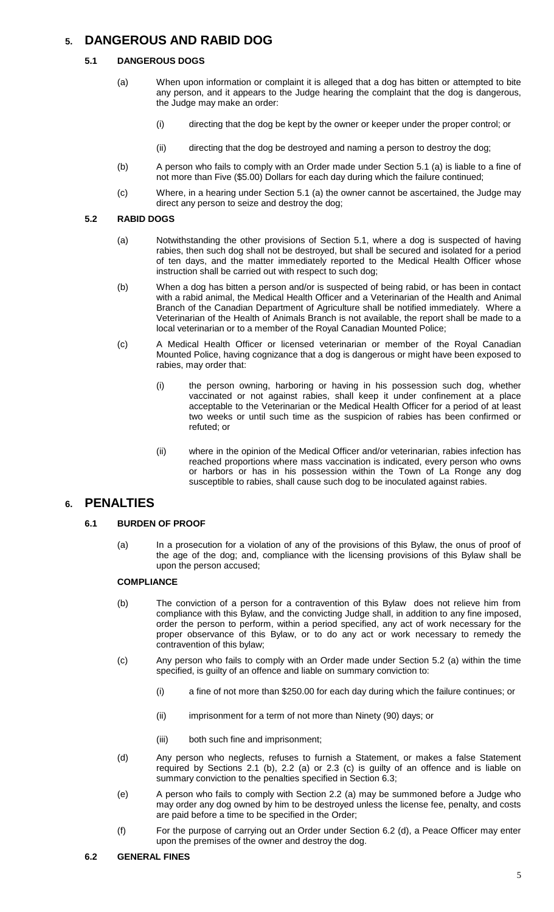# **5. DANGEROUS AND RABID DOG**

#### **5.1 DANGEROUS DOGS**

- (a) When upon information or complaint it is alleged that a dog has bitten or attempted to bite any person, and it appears to the Judge hearing the complaint that the dog is dangerous, the Judge may make an order:
	- (i) directing that the dog be kept by the owner or keeper under the proper control; or
	- (ii) directing that the dog be destroyed and naming a person to destroy the dog;
- (b) A person who fails to comply with an Order made under Section 5.1 (a) is liable to a fine of not more than Five (\$5.00) Dollars for each day during which the failure continued;
- (c) Where, in a hearing under Section 5.1 (a) the owner cannot be ascertained, the Judge may direct any person to seize and destroy the dog;

#### **5.2 RABID DOGS**

- (a) Notwithstanding the other provisions of Section 5.1, where a dog is suspected of having rabies, then such dog shall not be destroyed, but shall be secured and isolated for a period of ten days, and the matter immediately reported to the Medical Health Officer whose instruction shall be carried out with respect to such dog;
- (b) When a dog has bitten a person and/or is suspected of being rabid, or has been in contact with a rabid animal, the Medical Health Officer and a Veterinarian of the Health and Animal Branch of the Canadian Department of Agriculture shall be notified immediately. Where a Veterinarian of the Health of Animals Branch is not available, the report shall be made to a local veterinarian or to a member of the Royal Canadian Mounted Police;
- (c) A Medical Health Officer or licensed veterinarian or member of the Royal Canadian Mounted Police, having cognizance that a dog is dangerous or might have been exposed to rabies, may order that:
	- (i) the person owning, harboring or having in his possession such dog, whether vaccinated or not against rabies, shall keep it under confinement at a place acceptable to the Veterinarian or the Medical Health Officer for a period of at least two weeks or until such time as the suspicion of rabies has been confirmed or refuted; or
	- (ii) where in the opinion of the Medical Officer and/or veterinarian, rabies infection has reached proportions where mass vaccination is indicated, every person who owns or harbors or has in his possession within the Town of La Ronge any dog susceptible to rabies, shall cause such dog to be inoculated against rabies.

## **6. PENALTIES**

#### **6.1 BURDEN OF PROOF**

(a) In a prosecution for a violation of any of the provisions of this Bylaw, the onus of proof of the age of the dog; and, compliance with the licensing provisions of this Bylaw shall be upon the person accused;

#### **COMPLIANCE**

- (b) The conviction of a person for a contravention of this Bylaw does not relieve him from compliance with this Bylaw, and the convicting Judge shall, in addition to any fine imposed, order the person to perform, within a period specified, any act of work necessary for the proper observance of this Bylaw, or to do any act or work necessary to remedy the contravention of this bylaw;
- (c) Any person who fails to comply with an Order made under Section 5.2 (a) within the time specified, is guilty of an offence and liable on summary conviction to:
	- (i) a fine of not more than \$250.00 for each day during which the failure continues; or
	- (ii) imprisonment for a term of not more than Ninety (90) days; or
	- (iii) both such fine and imprisonment;
- (d) Any person who neglects, refuses to furnish a Statement, or makes a false Statement required by Sections 2.1 (b), 2.2 (a) or 2.3 (c) is guilty of an offence and is liable on summary conviction to the penalties specified in Section 6.3;
- (e) A person who fails to comply with Section 2.2 (a) may be summoned before a Judge who may order any dog owned by him to be destroyed unless the license fee, penalty, and costs are paid before a time to be specified in the Order;
- (f) For the purpose of carrying out an Order under Section 6.2 (d), a Peace Officer may enter upon the premises of the owner and destroy the dog.

#### **6.2 GENERAL FINES**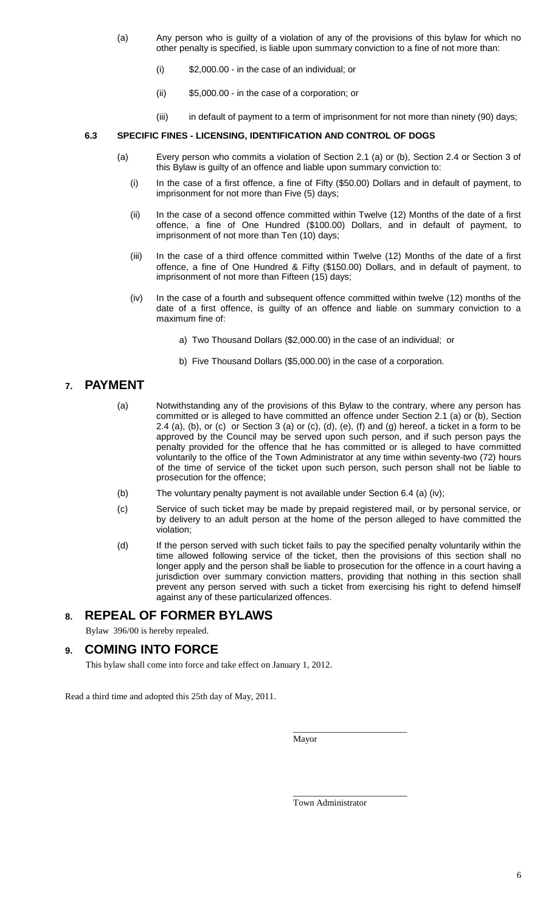- (a) Any person who is guilty of a violation of any of the provisions of this bylaw for which no other penalty is specified, is liable upon summary conviction to a fine of not more than:
	- (i) \$2,000.00 in the case of an individual; or
	- (ii) \$5,000.00 in the case of a corporation; or
	- (iii) in default of payment to a term of imprisonment for not more than ninety (90) days;

#### **6.3 SPECIFIC FINES - LICENSING, IDENTIFICATION AND CONTROL OF DOGS**

- (a) Every person who commits a violation of Section 2.1 (a) or (b), Section 2.4 or Section 3 of this Bylaw is guilty of an offence and liable upon summary conviction to:
	- (i) In the case of a first offence, a fine of Fifty (\$50.00) Dollars and in default of payment, to imprisonment for not more than Five (5) days;
	- (ii) In the case of a second offence committed within Twelve (12) Months of the date of a first offence, a fine of One Hundred (\$100.00) Dollars, and in default of payment, to imprisonment of not more than Ten (10) days;
	- (iii) In the case of a third offence committed within Twelve (12) Months of the date of a first offence, a fine of One Hundred & Fifty (\$150.00) Dollars, and in default of payment, to imprisonment of not more than Fifteen (15) days;
	- (iv) In the case of a fourth and subsequent offence committed within twelve (12) months of the date of a first offence, is guilty of an offence and liable on summary conviction to a maximum fine of:
		- a) Two Thousand Dollars (\$2,000.00) in the case of an individual; or
		- b) Five Thousand Dollars (\$5,000.00) in the case of a corporation.

## **7. PAYMENT**

- (a) Notwithstanding any of the provisions of this Bylaw to the contrary, where any person has committed or is alleged to have committed an offence under Section 2.1 (a) or (b), Section 2.4 (a), (b), or (c) or Section 3 (a) or (c), (d), (e), (f) and (g) hereof, a ticket in a form to be approved by the Council may be served upon such person, and if such person pays the penalty provided for the offence that he has committed or is alleged to have committed voluntarily to the office of the Town Administrator at any time within seventy-two (72) hours of the time of service of the ticket upon such person, such person shall not be liable to prosecution for the offence;
- (b) The voluntary penalty payment is not available under Section 6.4 (a) (iv);
- (c) Service of such ticket may be made by prepaid registered mail, or by personal service, or by delivery to an adult person at the home of the person alleged to have committed the violation;
- (d) If the person served with such ticket fails to pay the specified penalty voluntarily within the time allowed following service of the ticket, then the provisions of this section shall no longer apply and the person shall be liable to prosecution for the offence in a court having a jurisdiction over summary conviction matters, providing that nothing in this section shall prevent any person served with such a ticket from exercising his right to defend himself against any of these particularized offences.

## **8. REPEAL OF FORMER BYLAWS**

Bylaw 396/00 is hereby repealed.

## **9. COMING INTO FORCE**

This bylaw shall come into force and take effect on January 1, 2012.

Read a third time and adopted this 25th day of May, 2011.

Mayor

Town Administrator

\_\_\_\_\_\_\_\_\_\_\_\_\_\_\_\_\_\_\_\_\_\_\_\_\_

\_\_\_\_\_\_\_\_\_\_\_\_\_\_\_\_\_\_\_\_\_\_\_\_\_